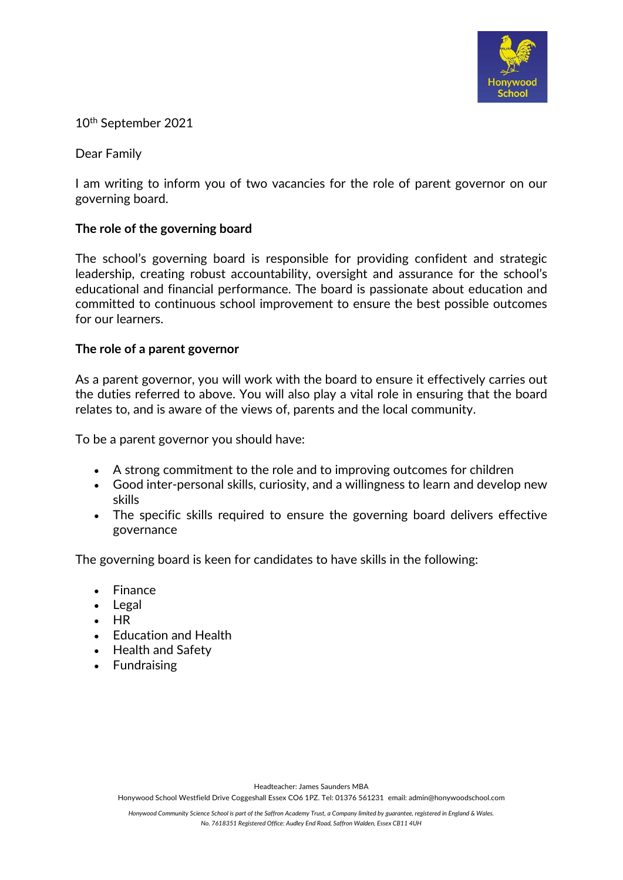

10th September 2021

Dear Family

I am writing to inform you of two vacancies for the role of parent governor on our governing board.

## **The role of the governing board**

The school's governing board is responsible for providing confident and strategic leadership, creating robust accountability, oversight and assurance for the school's educational and financial performance. The board is passionate about education and committed to continuous school improvement to ensure the best possible outcomes for our learners.

### **The role of a parent governor**

As a parent governor, you will work with the board to ensure it effectively carries out the duties referred to above. You will also play a vital role in ensuring that the board relates to, and is aware of the views of, parents and the local community.

To be a parent governor you should have:

- A strong commitment to the role and to improving outcomes for children
- Good inter-personal skills, curiosity, and a willingness to learn and develop new skills
- The specific skills required to ensure the governing board delivers effective governance

The governing board is keen for candidates to have skills in the following:

- Finance
- Legal
- HR
- Education and Health
- Health and Safety
- Fundraising

Headteacher: James Saunders MBA

Honywood School Westfield Drive Coggeshall Essex CO6 1PZ. Tel: 01376 561231 email: admin@honywoodschool.com

*Honywood Community Science School is part of the Saffron Academy Trust, a Company limited by guarantee, registered in England & Wales. No. 7618351 Registered Office: Audley End Road, Saffron Walden, Essex CB11 4UH*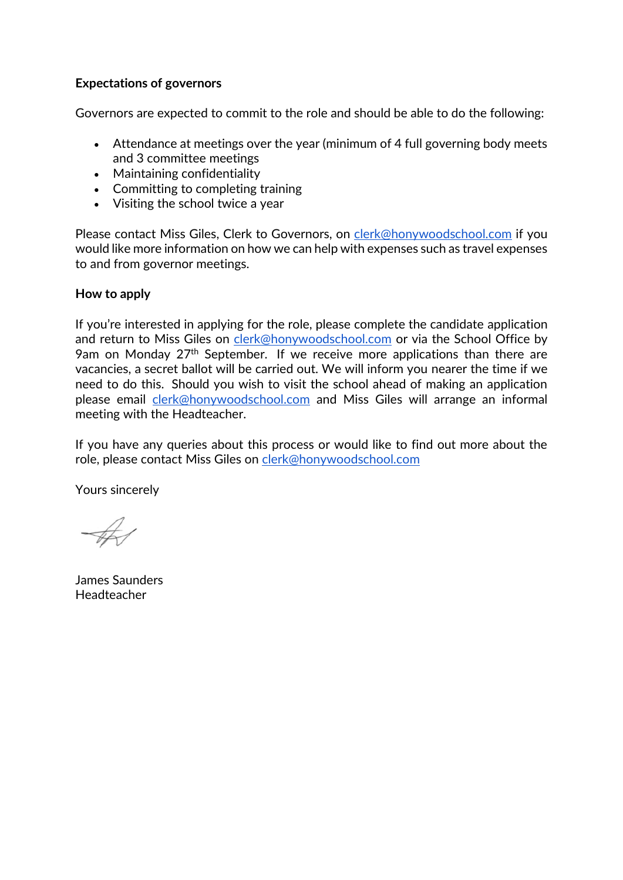## **Expectations of governors**

Governors are expected to commit to the role and should be able to do the following:

- Attendance at meetings over the year (minimum of 4 full governing body meets and 3 committee meetings
- Maintaining confidentiality
- Committing to completing training
- Visiting the school twice a year

Please contact Miss Giles, Clerk to Governors, on [clerk@honywoodschool.com](mailto:clerk@honywoodschool.com) if you would like more information on how we can help with expenses such as travel expenses to and from governor meetings.

### **How to apply**

If you're interested in applying for the role, please complete the candidate application and return to Miss Giles on [clerk@honywoodschool.com](mailto:clerk@honywoodschool.com) or via the School Office by 9am on Monday 27<sup>th</sup> September. If we receive more applications than there are vacancies, a secret ballot will be carried out. We will inform you nearer the time if we need to do this. Should you wish to visit the school ahead of making an application please email [clerk@honywoodschool.com](mailto:clerk@honywoodschool.com) and Miss Giles will arrange an informal meeting with the Headteacher.

If you have any queries about this process or would like to find out more about the role, please contact Miss Giles on [clerk@honywoodschool.com](mailto:clerk@honywoodschool.com)

Yours sincerely

James Saunders Headteacher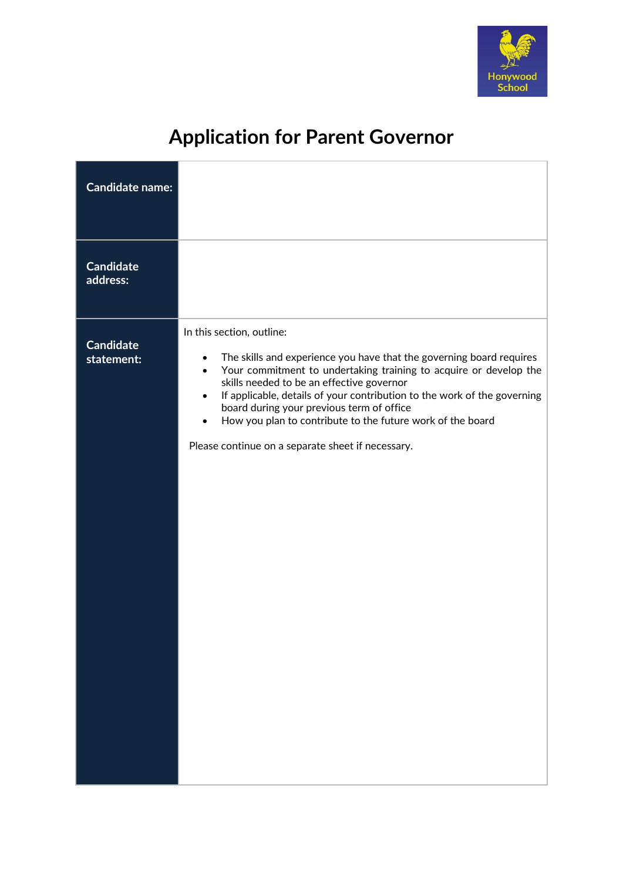

# **Application for Parent Governor**

| <b>Candidate name:</b>         |                                                                                                                                                                                                                                                                                                                                                                                                                                                                                           |
|--------------------------------|-------------------------------------------------------------------------------------------------------------------------------------------------------------------------------------------------------------------------------------------------------------------------------------------------------------------------------------------------------------------------------------------------------------------------------------------------------------------------------------------|
| <b>Candidate</b><br>address:   |                                                                                                                                                                                                                                                                                                                                                                                                                                                                                           |
| <b>Candidate</b><br>statement: | In this section, outline:<br>The skills and experience you have that the governing board requires<br>Your commitment to undertaking training to acquire or develop the<br>$\bullet$<br>skills needed to be an effective governor<br>If applicable, details of your contribution to the work of the governing<br>$\bullet$<br>board during your previous term of office<br>How you plan to contribute to the future work of the board<br>Please continue on a separate sheet if necessary. |